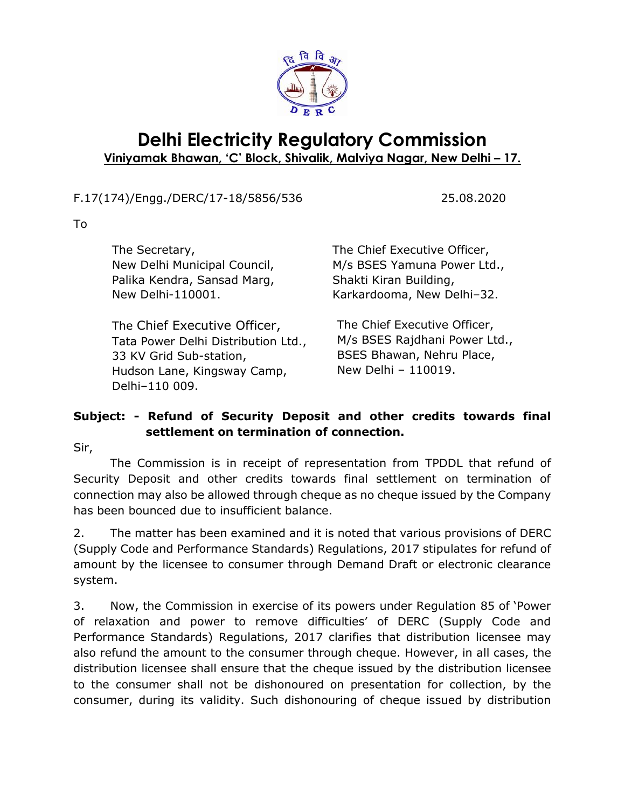

## **Delhi Electricity Regulatory Commission Viniyamak Bhawan, 'C' Block, Shivalik, Malviya Nagar, New Delhi – 17.**

## F.17(174)/Engg./DERC/17-18/5856/536 25.08.2020

To

| The Secretary,                                                                                                                                  | The Chief Executive Officer,                                                                                      |
|-------------------------------------------------------------------------------------------------------------------------------------------------|-------------------------------------------------------------------------------------------------------------------|
| New Delhi Municipal Council,                                                                                                                    | M/s BSES Yamuna Power Ltd.,                                                                                       |
| Palika Kendra, Sansad Marg,                                                                                                                     | Shakti Kiran Building,                                                                                            |
| New Delhi-110001.                                                                                                                               | Karkardooma, New Delhi-32.                                                                                        |
| The Chief Executive Officer,<br>Tata Power Delhi Distribution Ltd.,<br>33 KV Grid Sub-station,<br>Hudson Lane, Kingsway Camp,<br>Delhi-110 009. | The Chief Executive Officer,<br>M/s BSES Rajdhani Power Ltd.,<br>BSES Bhawan, Nehru Place,<br>New Delhi - 110019. |

## **Subject: - Refund of Security Deposit and other credits towards final settlement on termination of connection.**

Sir,

The Commission is in receipt of representation from TPDDL that refund of Security Deposit and other credits towards final settlement on termination of connection may also be allowed through cheque as no cheque issued by the Company has been bounced due to insufficient balance.

2. The matter has been examined and it is noted that various provisions of DERC (Supply Code and Performance Standards) Regulations, 2017 stipulates for refund of amount by the licensee to consumer through Demand Draft or electronic clearance system.

3. Now, the Commission in exercise of its powers under Regulation 85 of 'Power of relaxation and power to remove difficulties' of DERC (Supply Code and Performance Standards) Regulations, 2017 clarifies that distribution licensee may also refund the amount to the consumer through cheque. However, in all cases, the distribution licensee shall ensure that the cheque issued by the distribution licensee to the consumer shall not be dishonoured on presentation for collection, by the consumer, during its validity. Such dishonouring of cheque issued by distribution